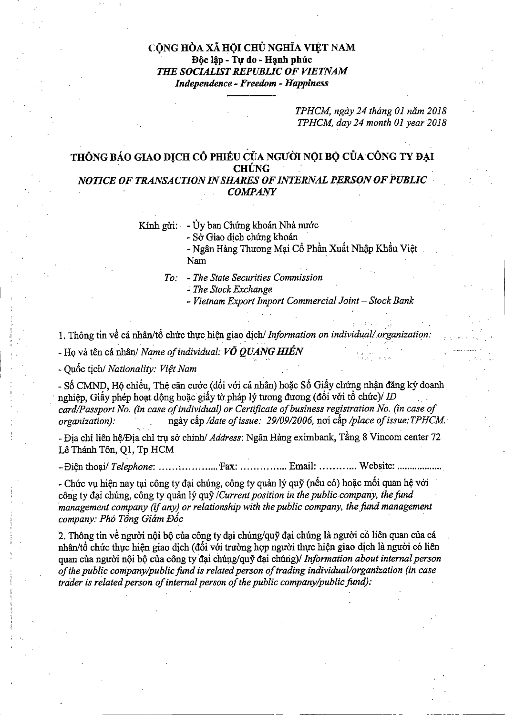## CỘNG HÒA XÃ HỘI CHỦ NGHĨA VIỆT NAM Độc lập - Tự do - Hạnh phúc THE SOCIALIST REPUBLIC OF VIETNAM Independence -Freedom -Happiness

TPHCM, ngày 24 tháng 01 năm 2018 TPHCM, day 24 month 01 year 2018

## THÔNG BÁO GIAO DỊCH CỔ PHIỀU CỦA NGƯỜI NỘI BỘ CỦA CÔNG TY ĐẠI **CHÚNG**

## NOTICE OF TRANSACTION IN SHARES OF INTERNAL PERSON OF PUBLIC COMPANY

Kinh gửi: - Ủy ban Chứng khoán Nhà nước

- Sờ Giao dịch chứng khoán

- Ngân Hàng Thương Mại Cổ Phần Xuất Nhập Khẩu Việt Nam

To: - The State Securities Commission

 $-$  The Stock Exchange

- Vietnam Export Import Commercial Joint - Stock Bank

1. Thông tin về cá nhân/tổ chức thực hiện giao dịch/ Information on individual/organization:  $To:$  - The State Securities Commission<br>- The Stock Exchange<br>- Vietnam Export Import Commercial Joint<br>1. Thông tin về cá nhân/tổ chức thực hiện giao dịch/ Information on individual:<br>Họ và tên cá nhân/ Name of individual: V

- Quốc tịch/ Nationality: Việt Nam

- Số CMND, Hộ chiếu, Thẻ căn cước (đối với cá nhân) hoặc Số Giấy chứng nhận đăng ký doanh nghiệp, Giấy phép hoạt động hoặc giấy tờ pháp lý tương đương (đối với tổ chức)/ $ID$ card/Passport No. (in case of individual) or Certificate of business registration No. (in case of organization): ngày cấp /date of issue: 29/09/2006, noi cấp /place of issue: TPHCM. - Quốc tịch/ *Nationality: Việt Nam*<br>- Số CMND, Hộ chiếu, Thẻ căn cước (đối với cá nhân) hoặc Số Giấy chứng nhận đăng ký doanh<br>nghiệp, Giấy phép hoạt động hoặc giấy tờ pháp lý tương đương (đối với tổ chức)/ *ID*<br>card/Passp - Số CMND, Hộ chiếu, Thẻ căn cước (đối với cá nhân) hoặc Số Giấy chứng nhận đã nghiệp, Giấy phép hoạt động hoặc giấy tờ pháp lý tương đương (đối với tổ chức)/ *IL* card/Passport No. (in case of individual) or Certificate

- Địa chi liên hệ/Địa chi trụ sở chính/ Address: Ngân Hàng eximbank, Tầng 8 Vincom center 72 Lê Thánh Tôn, Q1, Tp HCM

- Chức vụ hiện nay tại công ty đại chúng, công ty quản lý quỹ (nếu có) hoặc mối quan hệ với công ty đại chúng, công ty quản lý quỹ /Current position in the public company, the fund management company (if any) or relationship with the public company, the fund management company: Phó Tổng Giám Đốc

2. Thông tin về người nội bộ của công ty đại chúng/quỹ đại chúng là người có liên quan của cá nhân/tổ chức thực hiện giao dịch (đối với trường hợp người thực hiện giao dịch là người có liên quan của người nội bộ của công ty đại chúng/quỹ đại chúng)/ Information about internal person of the public company/public fund is related person of trading individual/organization (in case trader is related person of internal person of the public company/public fund):